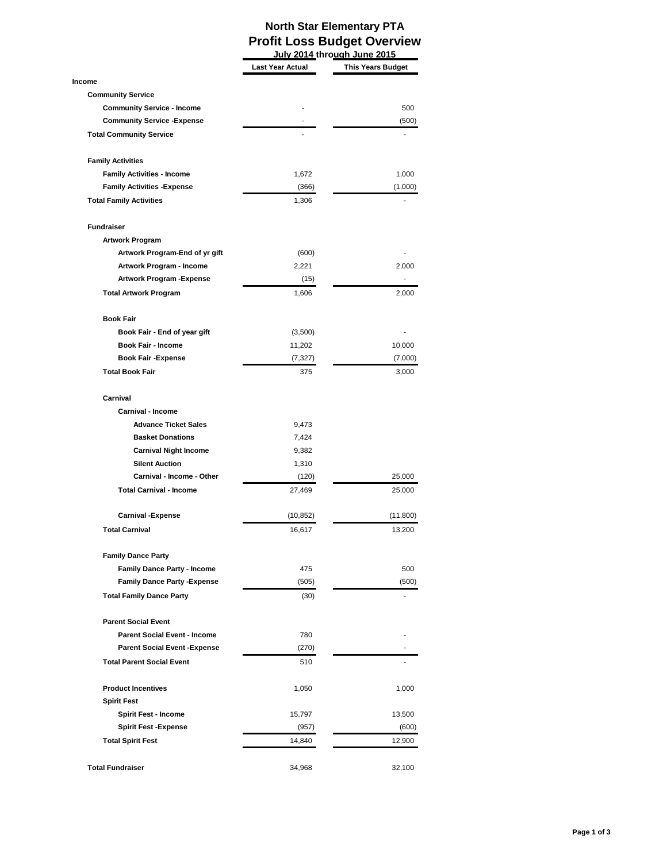## **North Star Elementary PTA Profit Loss Budget Overview**

|                                      | July 2014 through June 2015 |                          |
|--------------------------------------|-----------------------------|--------------------------|
|                                      | <b>Last Year Actual</b>     | <b>This Years Budget</b> |
| Income                               |                             |                          |
| <b>Community Service</b>             |                             |                          |
| <b>Community Service - Income</b>    |                             | 500                      |
| <b>Community Service - Expense</b>   |                             | (500)                    |
| <b>Total Community Service</b>       |                             |                          |
| <b>Family Activities</b>             |                             |                          |
| <b>Family Activities - Income</b>    | 1,672                       | 1,000                    |
| <b>Family Activities - Expense</b>   | (366)                       | (1,000)                  |
| <b>Total Family Activities</b>       | 1,306                       |                          |
| <b>Fundraiser</b>                    |                             |                          |
| <b>Artwork Program</b>               |                             |                          |
| Artwork Program-End of yr gift       | (600)                       |                          |
| Artwork Program - Income             | 2,221                       | 2.000                    |
| <b>Artwork Program - Expense</b>     | (15)                        |                          |
| <b>Total Artwork Program</b>         | 1,606                       | 2,000                    |
| <b>Book Fair</b>                     |                             |                          |
| Book Fair - End of year gift         | (3,500)                     |                          |
| <b>Book Fair - Income</b>            | 11,202                      | 10,000                   |
| <b>Book Fair - Expense</b>           | (7, 327)                    | (7,000)                  |
| <b>Total Book Fair</b>               | 375                         | 3,000                    |
| Carnival                             |                             |                          |
| <b>Carnival - Income</b>             |                             |                          |
| <b>Advance Ticket Sales</b>          | 9,473                       |                          |
| <b>Basket Donations</b>              | 7,424                       |                          |
| <b>Carnival Night Income</b>         | 9,382                       |                          |
| <b>Silent Auction</b>                | 1,310                       |                          |
| <b>Carnival - Income - Other</b>     | (120)                       | 25,000                   |
| <b>Total Carnival - Income</b>       | 27,469                      | 25,000                   |
| <b>Carnival -Expense</b>             | (10, 852)                   | (11, 800)                |
| <b>Total Carnival</b>                | 16,617                      | 13,200                   |
| <b>Family Dance Party</b>            |                             |                          |
| <b>Family Dance Party - Income</b>   | 475                         | 500                      |
| <b>Family Dance Party - Expense</b>  | (505)                       | (500)                    |
| <b>Total Family Dance Party</b>      | (30)                        |                          |
| <b>Parent Social Event</b>           |                             |                          |
| <b>Parent Social Event - Income</b>  | 780                         |                          |
| <b>Parent Social Event - Expense</b> | (270)                       |                          |
| <b>Total Parent Social Event</b>     | 510                         |                          |
| <b>Product Incentives</b>            | 1,050                       | 1,000                    |
| <b>Spirit Fest</b>                   |                             |                          |
| <b>Spirit Fest - Income</b>          | 15,797                      | 13,500                   |
| <b>Spirit Fest -Expense</b>          | (957)                       | (600)                    |
| <b>Total Spirit Fest</b>             | 14,840                      | 12,900                   |
|                                      |                             |                          |
| <b>Total Fundraiser</b>              | 34,968                      | 32,100                   |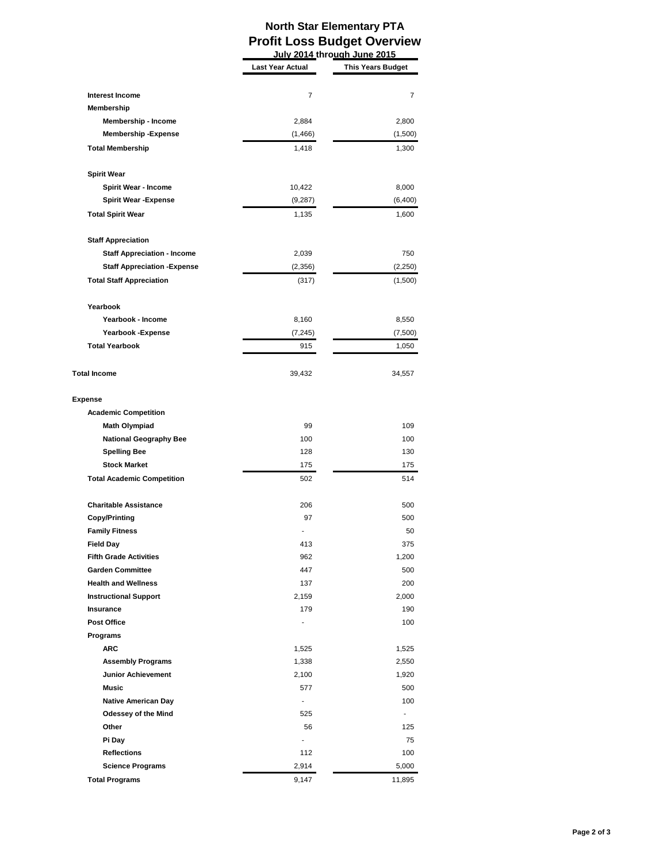## **North Star Elementary PTA Profit Loss Budget Overview July 2014 through June 2015**

|                                    | <b>Last Year Actual</b> | <b>This Years Budget</b> |
|------------------------------------|-------------------------|--------------------------|
|                                    |                         |                          |
| <b>Interest Income</b>             | 7                       | 7                        |
| Membership                         |                         |                          |
| Membership - Income                | 2,884                   | 2,800                    |
| <b>Membership-Expense</b>          | (1, 466)                | (1,500)                  |
| <b>Total Membership</b>            | 1,418                   | 1,300                    |
| <b>Spirit Wear</b>                 |                         |                          |
| <b>Spirit Wear - Income</b>        | 10,422                  | 8,000                    |
| <b>Spirit Wear - Expense</b>       | (9,287)                 | (6,400)                  |
| <b>Total Spirit Wear</b>           | 1,135                   | 1,600                    |
| <b>Staff Appreciation</b>          |                         |                          |
| <b>Staff Appreciation - Income</b> | 2,039                   | 750                      |
| <b>Staff Appreciation -Expense</b> | (2,356)                 | (2,250)                  |
| <b>Total Staff Appreciation</b>    | (317)                   | (1,500)                  |
|                                    |                         |                          |
| Yearbook                           |                         |                          |
| Yearbook - Income                  | 8,160                   | 8,550                    |
| Yearbook - Expense                 | (7, 245)                | (7,500)                  |
| <b>Total Yearbook</b>              | 915                     | 1,050                    |
| <b>Total Income</b>                | 39,432                  | 34,557                   |
| <b>Expense</b>                     |                         |                          |
| <b>Academic Competition</b>        |                         |                          |
| <b>Math Olympiad</b>               | 99                      | 109                      |
| <b>National Geography Bee</b>      | 100                     | 100                      |
| <b>Spelling Bee</b>                | 128                     | 130                      |
| <b>Stock Market</b>                | 175                     | 175                      |
| <b>Total Academic Competition</b>  | 502                     | 514                      |
| <b>Charitable Assistance</b>       | 206                     | 500                      |
| <b>Copy/Printing</b>               | 97                      | 500                      |
| <b>Family Fitness</b>              |                         | 50                       |
| <b>Field Day</b>                   | 413                     | 375                      |
| <b>Fifth Grade Activities</b>      | 962                     | 1,200                    |
| <b>Garden Committee</b>            | 447                     | 500                      |
| <b>Health and Wellness</b>         | 137                     | 200                      |
| <b>Instructional Support</b>       | 2,159                   | 2,000                    |
| Insurance                          | 179                     | 190                      |
| <b>Post Office</b>                 |                         | 100                      |
| Programs                           |                         |                          |
| <b>ARC</b>                         | 1,525                   | 1,525                    |
| <b>Assembly Programs</b>           | 1,338                   | 2,550                    |
| <b>Junior Achievement</b>          | 2,100                   | 1,920                    |
| <b>Music</b>                       | 577                     | 500                      |
| <b>Native American Day</b>         | $\overline{a}$          | 100                      |
| Odessey of the Mind                | 525                     |                          |
| Other                              | 56                      | 125                      |
| Pi Day                             |                         | 75                       |
| <b>Reflections</b>                 | 112                     | 100                      |
| <b>Science Programs</b>            | 2,914                   | 5,000                    |
| <b>Total Programs</b>              | 9,147                   | 11,895                   |